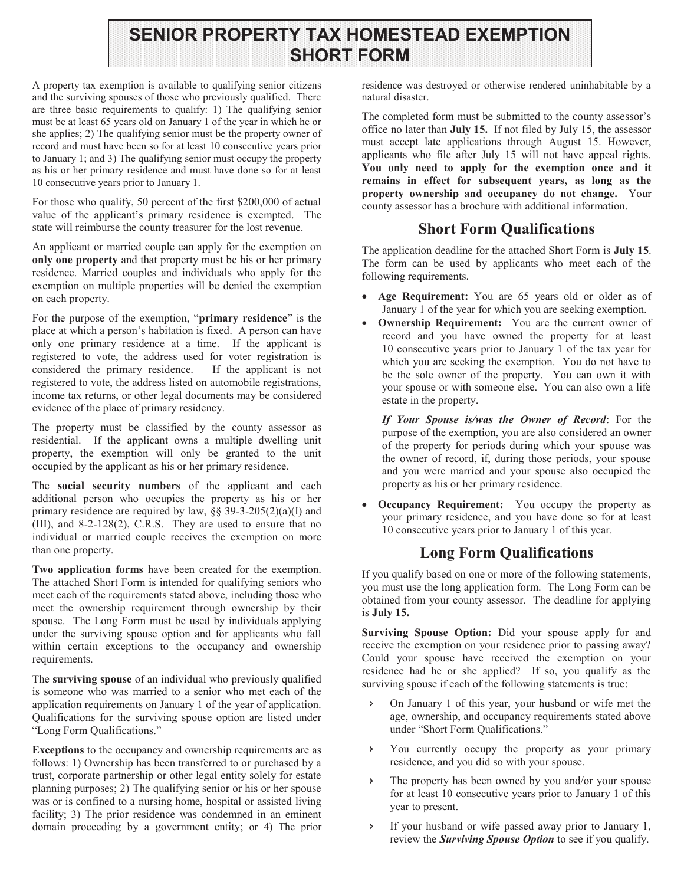# **SENIOR PROPERTY TAX HOMESTEAD EXEMPTION SHORT FORM**

A property tax exemption is available to qualifying senior citizens and the surviving spouses of those who previously qualified. There are three basic requirements to qualify: 1) The qualifying senior must be at least 65 years old on January 1 of the year in which he or she applies; 2) The qualifying senior must be the property owner of record and must have been so for at least 10 consecutive years prior to January 1; and 3) The qualifying senior must occupy the property as his or her primary residence and must have done so for at least 10 consecutive years prior to January 1.

For those who qualify, 50 percent of the first \$200,000 of actual value of the applicant's primary residence is exempted. The state will reimburse the county treasurer for the lost revenue.

An applicant or married couple can apply for the exemption on **only one property** and that property must be his or her primary residence. Married couples and individuals who apply for the exemption on multiple properties will be denied the exemption on each property.

For the purpose of the exemption, "**primary residence**" is the place at which a person's habitation is fixed. A person can have only one primary residence at a time. If the applicant is registered to vote, the address used for voter registration is considered the primary residence. If the applicant is not registered to vote, the address listed on automobile registrations, income tax returns, or other legal documents may be considered evidence of the place of primary residency.

The property must be classified by the county assessor as residential. If the applicant owns a multiple dwelling unit property, the exemption will only be granted to the unit occupied by the applicant as his or her primary residence.

The **social security numbers** of the applicant and each additional person who occupies the property as his or her primary residence are required by law,  $\S$  39-3-205(2)(a)(I) and (III), and 8-2-128(2), C.R.S. They are used to ensure that no individual or married couple receives the exemption on more than one property.

**Two application forms** have been created for the exemption. The attached Short Form is intended for qualifying seniors who meet each of the requirements stated above, including those who meet the ownership requirement through ownership by their spouse. The Long Form must be used by individuals applying under the surviving spouse option and for applicants who fall within certain exceptions to the occupancy and ownership requirements.

The **surviving spouse** of an individual who previously qualified is someone who was married to a senior who met each of the application requirements on January 1 of the year of application. Qualifications for the surviving spouse option are listed under "Long Form Qualifications."

**Exceptions** to the occupancy and ownership requirements are as follows: 1) Ownership has been transferred to or purchased by a trust, corporate partnership or other legal entity solely for estate planning purposes; 2) The qualifying senior or his or her spouse was or is confined to a nursing home, hospital or assisted living facility; 3) The prior residence was condemned in an eminent domain proceeding by a government entity; or 4) The prior

residence was destroyed or otherwise rendered uninhabitable by a natural disaster.

The completed form must be submitted to the county assessor's office no later than **July 15.** If not filed by July 15, the assessor must accept late applications through August 15. However, applicants who file after July 15 will not have appeal rights. **You only need to apply for the exemption once and it remains in effect for subsequent years, as long as the property ownership and occupancy do not change.** Your county assessor has a brochure with additional information.

## **Short Form Qualifications**

The application deadline for the attached Short Form is **July 15**. The form can be used by applicants who meet each of the following requirements.

- · **Age Requirement:** You are 65 years old or older as of January 1 of the year for which you are seeking exemption.
- · **Ownership Requirement:** You are the current owner of record and you have owned the property for at least 10 consecutive years prior to January 1 of the tax year for which you are seeking the exemption. You do not have to be the sole owner of the property. You can own it with your spouse or with someone else. You can also own a life estate in the property.

*If Your Spouse is/was the Owner of Record*: For the purpose of the exemption, you are also considered an owner of the property for periods during which your spouse was the owner of record, if, during those periods, your spouse and you were married and your spouse also occupied the property as his or her primary residence.

· **Occupancy Requirement:** You occupy the property as your primary residence, and you have done so for at least 10 consecutive years prior to January 1 of this year.

### **Long Form Qualifications**

If you qualify based on one or more of the following statements, you must use the long application form. The Long Form can be obtained from your county assessor. The deadline for applying is **July 15.** 

**Surviving Spouse Option:** Did your spouse apply for and receive the exemption on your residence prior to passing away? Could your spouse have received the exemption on your residence had he or she applied? If so, you qualify as the surviving spouse if each of the following statements is true:

- On January 1 of this year, your husband or wife met the age, ownership, and occupancy requirements stated above under "Short Form Qualifications."
- S You currently occupy the property as your primary residence, and you did so with your spouse.
- The property has been owned by you and/or your spouse for at least 10 consecutive years prior to January 1 of this year to present.
- S If your husband or wife passed away prior to January 1, review the *Surviving Spouse Option* to see if you qualify.